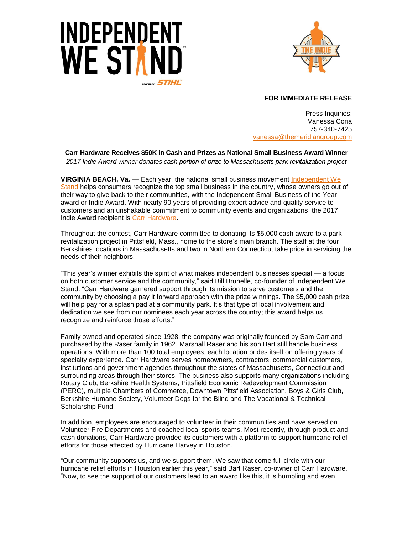



## **FOR IMMEDIATE RELEASE**

Press Inquiries: Vanessa Coria 757-340-7425 vanessa[@themeridiangroup.](mailto:vanessa@themeridiangroup.com)com

**Carr Hardware Receives \$50K in Cash and Prizes as National Small Business Award Winner** *2017 Indie Award winner donates cash portion of prize to Massachusetts park revitalization project* 

**VIRGINIA BEACH, Va.** — Each year, the national small business movement [Independent We](http://www.independentwestand.org/)  [Stand](http://www.independentwestand.org/) helps consumers recognize the top small business in the country, whose owners go out of their way to give back to their communities, with the Independent Small Business of the Year award or Indie Award. With nearly 90 years of providing expert advice and quality service to customers and an unshakable commitment to community events and organizations, the 2017 Indie Award recipient is [Carr Hardware.](http://carrhardware.com/)

Throughout the contest, Carr Hardware committed to donating its \$5,000 cash award to a park revitalization project in Pittsfield, Mass., home to the store's main branch. The staff at the four Berkshires locations in Massachusetts and two in Northern Connecticut take pride in servicing the needs of their neighbors.

"This year's winner exhibits the spirit of what makes independent businesses special — a focus on both customer service and the community," said Bill Brunelle, co-founder of Independent We Stand. "Carr Hardware garnered support through its mission to serve customers and the community by choosing a pay it forward approach with the prize winnings. The \$5,000 cash prize will help pay for a splash pad at a community park. It's that type of local involvement and dedication we see from our nominees each year across the country; this award helps us recognize and reinforce those efforts."

Family owned and operated since 1928, the company was originally founded by Sam Carr and purchased by the Raser family in 1962. Marshall Raser and his son Bart still handle business operations. With more than 100 total employees, each location prides itself on offering years of specialty experience. Carr Hardware serves homeowners, contractors, commercial customers, institutions and government agencies throughout the states of Massachusetts, Connecticut and surrounding areas through their stores. The business also supports many organizations including Rotary Club, Berkshire Health Systems, Pittsfield Economic Redevelopment Commission (PERC), multiple Chambers of Commerce, Downtown Pittsfield Association, Boys & Girls Club, Berkshire Humane Society, Volunteer Dogs for the Blind and The Vocational & Technical Scholarship Fund.

In addition, employees are encouraged to volunteer in their communities and have served on Volunteer Fire Departments and coached local sports teams. Most recently, through product and cash donations, Carr Hardware provided its customers with a platform to support hurricane relief efforts for those affected by Hurricane Harvey in Houston.

"Our community supports us, and we support them. We saw that come full circle with our hurricane relief efforts in Houston earlier this year," said Bart Raser, co-owner of Carr Hardware. "Now, to see the support of our customers lead to an award like this, it is humbling and even